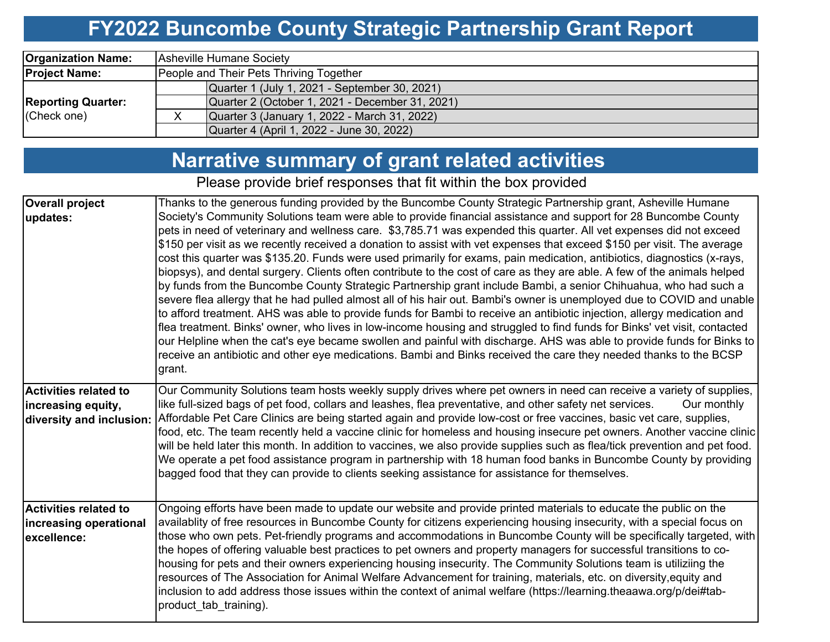# **FY2022 Buncombe County Strategic Partnership Grant Report**

| <b>Organization Name:</b> | Asheville Humane Society                        |  |  |  |  |  |  |  |
|---------------------------|-------------------------------------------------|--|--|--|--|--|--|--|
| <b>Project Name:</b>      | People and Their Pets Thriving Together         |  |  |  |  |  |  |  |
|                           | Quarter 1 (July 1, 2021 - September 30, 2021)   |  |  |  |  |  |  |  |
| <b>Reporting Quarter:</b> | Quarter 2 (October 1, 2021 - December 31, 2021) |  |  |  |  |  |  |  |
| (Check one)               | Quarter 3 (January 1, 2022 - March 31, 2022)    |  |  |  |  |  |  |  |
|                           | Quarter 4 (April 1, 2022 - June 30, 2022)       |  |  |  |  |  |  |  |

### **Narrative summary of grant related activities**

Please provide brief responses that fit within the box provided

| Thanks to the generous funding provided by the Buncombe County Strategic Partnership grant, Asheville Humane<br>Society's Community Solutions team were able to provide financial assistance and support for 28 Buncombe County<br>pets in need of veterinary and wellness care. \$3,785.71 was expended this quarter. All vet expenses did not exceed<br>\$150 per visit as we recently received a donation to assist with vet expenses that exceed \$150 per visit. The average<br>cost this quarter was \$135.20. Funds were used primarily for exams, pain medication, antibiotics, diagnostics (x-rays,<br>biopsys), and dental surgery. Clients often contribute to the cost of care as they are able. A few of the animals helped<br>by funds from the Buncombe County Strategic Partnership grant include Bambi, a senior Chihuahua, who had such a<br>severe flea allergy that he had pulled almost all of his hair out. Bambi's owner is unemployed due to COVID and unable<br>to afford treatment. AHS was able to provide funds for Bambi to receive an antibiotic injection, allergy medication and<br>flea treatment. Binks' owner, who lives in low-income housing and struggled to find funds for Binks' vet visit, contacted<br>our Helpline when the cat's eye became swollen and painful with discharge. AHS was able to provide funds for Binks to |
|------------------------------------------------------------------------------------------------------------------------------------------------------------------------------------------------------------------------------------------------------------------------------------------------------------------------------------------------------------------------------------------------------------------------------------------------------------------------------------------------------------------------------------------------------------------------------------------------------------------------------------------------------------------------------------------------------------------------------------------------------------------------------------------------------------------------------------------------------------------------------------------------------------------------------------------------------------------------------------------------------------------------------------------------------------------------------------------------------------------------------------------------------------------------------------------------------------------------------------------------------------------------------------------------------------------------------------------------------------------------|
| receive an antibiotic and other eye medications. Bambi and Binks received the care they needed thanks to the BCSP                                                                                                                                                                                                                                                                                                                                                                                                                                                                                                                                                                                                                                                                                                                                                                                                                                                                                                                                                                                                                                                                                                                                                                                                                                                      |
| Our Community Solutions team hosts weekly supply drives where pet owners in need can receive a variety of supplies,<br>Our monthly                                                                                                                                                                                                                                                                                                                                                                                                                                                                                                                                                                                                                                                                                                                                                                                                                                                                                                                                                                                                                                                                                                                                                                                                                                     |
| Affordable Pet Care Clinics are being started again and provide low-cost or free vaccines, basic vet care, supplies,<br>food, etc. The team recently held a vaccine clinic for homeless and housing insecure pet owners. Another vaccine clinic<br>will be held later this month. In addition to vaccines, we also provide supplies such as flea/tick prevention and pet food.<br>We operate a pet food assistance program in partnership with 18 human food banks in Buncombe County by providing                                                                                                                                                                                                                                                                                                                                                                                                                                                                                                                                                                                                                                                                                                                                                                                                                                                                     |
| Ongoing efforts have been made to update our website and provide printed materials to educate the public on the                                                                                                                                                                                                                                                                                                                                                                                                                                                                                                                                                                                                                                                                                                                                                                                                                                                                                                                                                                                                                                                                                                                                                                                                                                                        |
| availablity of free resources in Buncombe County for citizens experiencing housing insecurity, with a special focus on<br>those who own pets. Pet-friendly programs and accommodations in Buncombe County will be specifically targeted, with<br>the hopes of offering valuable best practices to pet owners and property managers for successful transitions to co-<br>housing for pets and their owners experiencing housing insecurity. The Community Solutions team is utiliziing the<br>resources of The Association for Animal Welfare Advancement for training, materials, etc. on diversity, equity and<br>inclusion to add address those issues within the context of animal welfare (https://learning.theaawa.org/p/dei#tab-                                                                                                                                                                                                                                                                                                                                                                                                                                                                                                                                                                                                                                 |
| like full-sized bags of pet food, collars and leashes, flea preventative, and other safety net services.                                                                                                                                                                                                                                                                                                                                                                                                                                                                                                                                                                                                                                                                                                                                                                                                                                                                                                                                                                                                                                                                                                                                                                                                                                                               |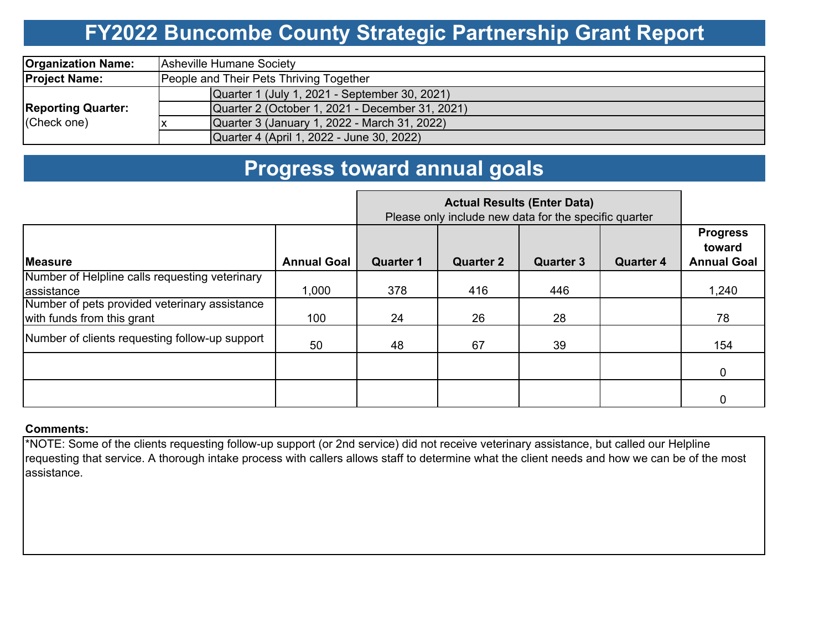# **FY2022 Buncombe County Strategic Partnership Grant Report**

| <b>Organization Name:</b>                | Asheville Humane Society                        |  |  |  |  |  |  |  |
|------------------------------------------|-------------------------------------------------|--|--|--|--|--|--|--|
| <b>Project Name:</b>                     | People and Their Pets Thriving Together         |  |  |  |  |  |  |  |
| <b>Reporting Quarter:</b><br>(Check one) | Quarter 1 (July 1, 2021 - September 30, 2021)   |  |  |  |  |  |  |  |
|                                          | Quarter 2 (October 1, 2021 - December 31, 2021) |  |  |  |  |  |  |  |
|                                          | Quarter 3 (January 1, 2022 - March 31, 2022)    |  |  |  |  |  |  |  |
|                                          | Quarter 4 (April 1, 2022 - June 30, 2022)       |  |  |  |  |  |  |  |

### **Progress toward annual goals**

|                                                                             |                    | <b>Actual Results (Enter Data)</b><br>Please only include new data for the specific quarter |                  |                  |                  |                                                 |
|-----------------------------------------------------------------------------|--------------------|---------------------------------------------------------------------------------------------|------------------|------------------|------------------|-------------------------------------------------|
| <b>Measure</b>                                                              | <b>Annual Goal</b> | <b>Quarter 1</b>                                                                            | <b>Quarter 2</b> | <b>Quarter 3</b> | <b>Quarter 4</b> | <b>Progress</b><br>toward<br><b>Annual Goal</b> |
| Number of Helpline calls requesting veterinary<br>assistance                | 1,000              | 378                                                                                         | 416              | 446              |                  | 1,240                                           |
| Number of pets provided veterinary assistance<br>with funds from this grant | 100                | 24                                                                                          | 26               | 28               |                  | 78                                              |
| Number of clients requesting follow-up support                              | 50                 | 48                                                                                          | 67               | 39               |                  | 154                                             |
|                                                                             |                    |                                                                                             |                  |                  |                  | 0                                               |
|                                                                             |                    |                                                                                             |                  |                  |                  |                                                 |

#### **Comments:**

\*NOTE: Some of the clients requesting follow-up support (or 2nd service) did not receive veterinary assistance, but called our Helpline requesting that service. A thorough intake process with callers allows staff to determine what the client needs and how we can be of the most assistance.